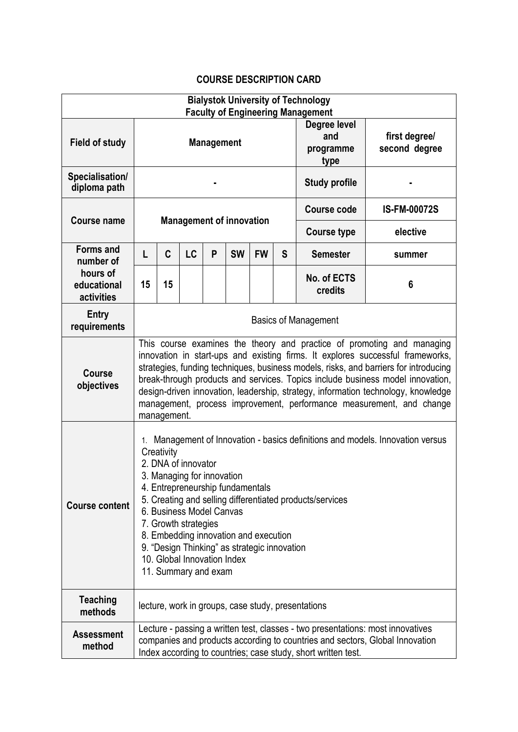## **COURSE DESCRIPTION CARD**

| <b>Bialystok University of Technology</b><br><b>Faculty of Engineering Management</b> |                                                                                                                                                                                                                                                                                                                                                                                                                                                                                                                |                                                    |           |   |           |           |                      |                                          |                                |
|---------------------------------------------------------------------------------------|----------------------------------------------------------------------------------------------------------------------------------------------------------------------------------------------------------------------------------------------------------------------------------------------------------------------------------------------------------------------------------------------------------------------------------------------------------------------------------------------------------------|----------------------------------------------------|-----------|---|-----------|-----------|----------------------|------------------------------------------|--------------------------------|
| <b>Field of study</b>                                                                 | <b>Management</b>                                                                                                                                                                                                                                                                                                                                                                                                                                                                                              |                                                    |           |   |           |           |                      | Degree level<br>and<br>programme<br>type | first degree/<br>second degree |
| Specialisation/<br>diploma path                                                       |                                                                                                                                                                                                                                                                                                                                                                                                                                                                                                                |                                                    |           |   |           |           | <b>Study profile</b> |                                          |                                |
| Course name                                                                           | <b>Management of innovation</b>                                                                                                                                                                                                                                                                                                                                                                                                                                                                                |                                                    |           |   |           |           |                      | <b>Course code</b>                       | <b>IS-FM-00072S</b>            |
|                                                                                       |                                                                                                                                                                                                                                                                                                                                                                                                                                                                                                                |                                                    |           |   |           |           |                      | <b>Course type</b>                       | elective                       |
| <b>Forms and</b><br>number of                                                         | L                                                                                                                                                                                                                                                                                                                                                                                                                                                                                                              | C                                                  | <b>LC</b> | P | <b>SW</b> | <b>FW</b> | S                    | <b>Semester</b>                          | summer                         |
| hours of<br>educational<br>activities                                                 | 15                                                                                                                                                                                                                                                                                                                                                                                                                                                                                                             | 15                                                 |           |   |           |           |                      | No. of ECTS<br>credits                   | $6\phantom{1}6$                |
| <b>Entry</b><br>requirements                                                          | <b>Basics of Management</b>                                                                                                                                                                                                                                                                                                                                                                                                                                                                                    |                                                    |           |   |           |           |                      |                                          |                                |
| <b>Course</b><br>objectives                                                           | This course examines the theory and practice of promoting and managing<br>innovation in start-ups and existing firms. It explores successful frameworks,<br>strategies, funding techniques, business models, risks, and barriers for introducing<br>break-through products and services. Topics include business model innovation,<br>design-driven innovation, leadership, strategy, information technology, knowledge<br>management, process improvement, performance measurement, and change<br>management. |                                                    |           |   |           |           |                      |                                          |                                |
| <b>Course content</b>                                                                 | 1. Management of Innovation - basics definitions and models. Innovation versus<br>Creativity<br>2. DNA of innovator<br>3. Managing for innovation<br>4. Entrepreneurship fundamentals<br>5. Creating and selling differentiated products/services<br>6. Business Model Canvas<br>7. Growth strategies<br>8. Embedding innovation and execution<br>9. "Design Thinking" as strategic innovation<br>10. Global Innovation Index<br>11. Summary and exam                                                          |                                                    |           |   |           |           |                      |                                          |                                |
| <b>Teaching</b><br>methods                                                            |                                                                                                                                                                                                                                                                                                                                                                                                                                                                                                                | lecture, work in groups, case study, presentations |           |   |           |           |                      |                                          |                                |
| <b>Assessment</b><br>method                                                           | Lecture - passing a written test, classes - two presentations: most innovatives<br>companies and products according to countries and sectors, Global Innovation<br>Index according to countries; case study, short written test.                                                                                                                                                                                                                                                                               |                                                    |           |   |           |           |                      |                                          |                                |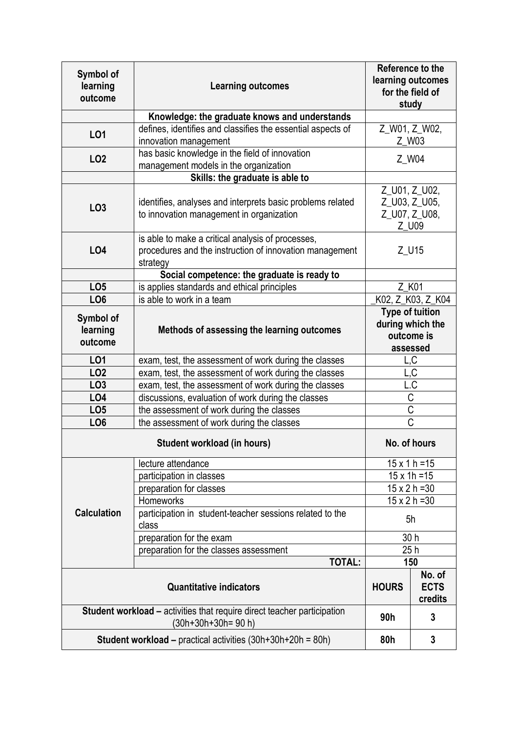| Symbol of<br>learning<br>outcome                                                              | <b>Learning outcomes</b>                                                                                                 | Reference to the<br>learning outcomes<br>for the field of<br>study   |                                  |  |  |  |  |
|-----------------------------------------------------------------------------------------------|--------------------------------------------------------------------------------------------------------------------------|----------------------------------------------------------------------|----------------------------------|--|--|--|--|
|                                                                                               | Knowledge: the graduate knows and understands                                                                            |                                                                      |                                  |  |  |  |  |
| <b>LO1</b>                                                                                    | defines, identifies and classifies the essential aspects of<br>Z_W01, Z_W02,<br>innovation management<br>Z_W03           |                                                                      |                                  |  |  |  |  |
| LO <sub>2</sub>                                                                               | has basic knowledge in the field of innovation<br>management models in the organization                                  | Z_W04                                                                |                                  |  |  |  |  |
|                                                                                               | Skills: the graduate is able to                                                                                          |                                                                      |                                  |  |  |  |  |
| LO <sub>3</sub>                                                                               | identifies, analyses and interprets basic problems related<br>to innovation management in organization                   | Z_U01, Z_U02,<br>Z_U03, Z_U05,<br>Z_U07, Z_U08,<br>Z_U09             |                                  |  |  |  |  |
| LO4                                                                                           | is able to make a critical analysis of processes,<br>procedures and the instruction of innovation management<br>strategy | Z_U15                                                                |                                  |  |  |  |  |
|                                                                                               | Social competence: the graduate is ready to                                                                              |                                                                      |                                  |  |  |  |  |
| LO <sub>5</sub>                                                                               | is applies standards and ethical principles                                                                              | Z K01                                                                |                                  |  |  |  |  |
| LO <sub>6</sub>                                                                               | is able to work in a team                                                                                                |                                                                      | K02, Z_K03, Z_K04                |  |  |  |  |
| Symbol of<br>learning<br>outcome                                                              | Methods of assessing the learning outcomes                                                                               | <b>Type of tuition</b><br>during which the<br>outcome is<br>assessed |                                  |  |  |  |  |
| LO <sub>1</sub>                                                                               | exam, test, the assessment of work during the classes                                                                    | L,C                                                                  |                                  |  |  |  |  |
| LO <sub>2</sub>                                                                               | exam, test, the assessment of work during the classes                                                                    | L,C                                                                  |                                  |  |  |  |  |
| LO <sub>3</sub>                                                                               | exam, test, the assessment of work during the classes                                                                    | L.C                                                                  |                                  |  |  |  |  |
| LO <sub>4</sub>                                                                               | discussions, evaluation of work during the classes                                                                       | $\overline{C}$                                                       |                                  |  |  |  |  |
| LO <sub>5</sub>                                                                               | the assessment of work during the classes                                                                                | $\overline{C}$                                                       |                                  |  |  |  |  |
| LO <sub>6</sub>                                                                               | the assessment of work during the classes                                                                                | $\overline{\text{c}}$                                                |                                  |  |  |  |  |
|                                                                                               | No. of hours                                                                                                             |                                                                      |                                  |  |  |  |  |
|                                                                                               | lecture attendance                                                                                                       | $15 \times 1 h = 15$                                                 |                                  |  |  |  |  |
|                                                                                               | participation in classes                                                                                                 | $15 \times 1h = 15$                                                  |                                  |  |  |  |  |
|                                                                                               | preparation for classes                                                                                                  | $15 \times 2 h = 30$                                                 |                                  |  |  |  |  |
|                                                                                               | Homeworks                                                                                                                | $15 \times 2 h = 30$                                                 |                                  |  |  |  |  |
| <b>Calculation</b>                                                                            | participation in student-teacher sessions related to the<br>class                                                        | 5h                                                                   |                                  |  |  |  |  |
|                                                                                               | preparation for the exam                                                                                                 | 30 h                                                                 |                                  |  |  |  |  |
|                                                                                               | preparation for the classes assessment                                                                                   | 25h                                                                  |                                  |  |  |  |  |
|                                                                                               | <b>TOTAL:</b>                                                                                                            |                                                                      | 150                              |  |  |  |  |
| <b>Quantitative indicators</b>                                                                |                                                                                                                          |                                                                      | No. of<br><b>ECTS</b><br>credits |  |  |  |  |
| Student workload - activities that require direct teacher participation<br>(30h+30h+30h=90 h) |                                                                                                                          |                                                                      | 3                                |  |  |  |  |
| <b>Student workload – practical activities (30h+30h+20h = 80h)</b>                            |                                                                                                                          |                                                                      | 3                                |  |  |  |  |